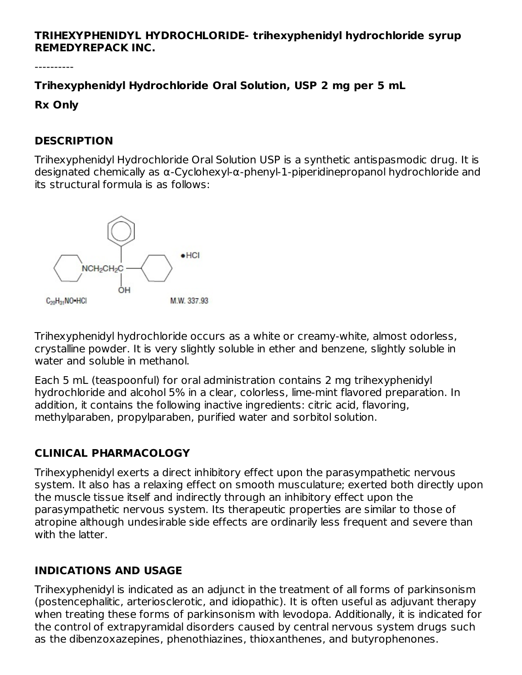#### **TRIHEXYPHENIDYL HYDROCHLORIDE- trihexyphenidyl hydrochloride syrup REMEDYREPACK INC.**

----------

**Trihexyphenidyl Hydrochloride Oral Solution, USP 2 mg per 5 mL**

**Rx Only**

#### **DESCRIPTION**

Trihexyphenidyl Hydrochloride Oral Solution USP is a synthetic antispasmodic drug. It is designated chemically as α-Cyclohexyl-α-phenyl-1-piperidinepropanol hydrochloride and its structural formula is as follows:



Trihexyphenidyl hydrochloride occurs as a white or creamy-white, almost odorless, crystalline powder. It is very slightly soluble in ether and benzene, slightly soluble in water and soluble in methanol.

Each 5 mL (teaspoonful) for oral administration contains 2 mg trihexyphenidyl hydrochloride and alcohol 5% in a clear, colorless, lime-mint flavored preparation. In addition, it contains the following inactive ingredients: citric acid, flavoring, methylparaben, propylparaben, purified water and sorbitol solution.

## **CLINICAL PHARMACOLOGY**

Trihexyphenidyl exerts a direct inhibitory effect upon the parasympathetic nervous system. It also has a relaxing effect on smooth musculature; exerted both directly upon the muscle tissue itself and indirectly through an inhibitory effect upon the parasympathetic nervous system. Its therapeutic properties are similar to those of atropine although undesirable side effects are ordinarily less frequent and severe than with the latter.

## **INDICATIONS AND USAGE**

Trihexyphenidyl is indicated as an adjunct in the treatment of all forms of parkinsonism (postencephalitic, arteriosclerotic, and idiopathic). It is often useful as adjuvant therapy when treating these forms of parkinsonism with levodopa. Additionally, it is indicated for the control of extrapyramidal disorders caused by central nervous system drugs such as the dibenzoxazepines, phenothiazines, thioxanthenes, and butyrophenones.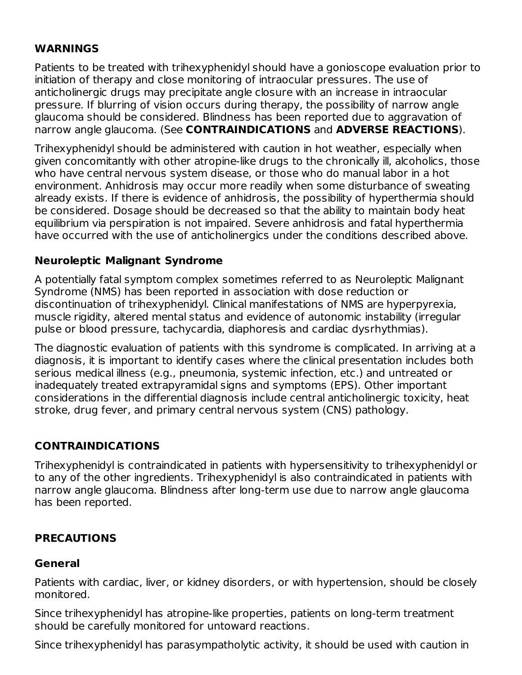#### **WARNINGS**

Patients to be treated with trihexyphenidyl should have a gonioscope evaluation prior to initiation of therapy and close monitoring of intraocular pressures. The use of anticholinergic drugs may precipitate angle closure with an increase in intraocular pressure. If blurring of vision occurs during therapy, the possibility of narrow angle glaucoma should be considered. Blindness has been reported due to aggravation of narrow angle glaucoma. (See **CONTRAINDICATIONS** and **ADVERSE REACTIONS**).

Trihexyphenidyl should be administered with caution in hot weather, especially when given concomitantly with other atropine-like drugs to the chronically ill, alcoholics, those who have central nervous system disease, or those who do manual labor in a hot environment. Anhidrosis may occur more readily when some disturbance of sweating already exists. If there is evidence of anhidrosis, the possibility of hyperthermia should be considered. Dosage should be decreased so that the ability to maintain body heat equilibrium via perspiration is not impaired. Severe anhidrosis and fatal hyperthermia have occurred with the use of anticholinergics under the conditions described above.

#### **Neuroleptic Malignant Syndrome**

A potentially fatal symptom complex sometimes referred to as Neuroleptic Malignant Syndrome (NMS) has been reported in association with dose reduction or discontinuation of trihexyphenidyl. Clinical manifestations of NMS are hyperpyrexia, muscle rigidity, altered mental status and evidence of autonomic instability (irregular pulse or blood pressure, tachycardia, diaphoresis and cardiac dysrhythmias).

The diagnostic evaluation of patients with this syndrome is complicated. In arriving at a diagnosis, it is important to identify cases where the clinical presentation includes both serious medical illness (e.g., pneumonia, systemic infection, etc.) and untreated or inadequately treated extrapyramidal signs and symptoms (EPS). Other important considerations in the differential diagnosis include central anticholinergic toxicity, heat stroke, drug fever, and primary central nervous system (CNS) pathology.

# **CONTRAINDICATIONS**

Trihexyphenidyl is contraindicated in patients with hypersensitivity to trihexyphenidyl or to any of the other ingredients. Trihexyphenidyl is also contraindicated in patients with narrow angle glaucoma. Blindness after long-term use due to narrow angle glaucoma has been reported.

## **PRECAUTIONS**

#### **General**

Patients with cardiac, liver, or kidney disorders, or with hypertension, should be closely monitored.

Since trihexyphenidyl has atropine-like properties, patients on long-term treatment should be carefully monitored for untoward reactions.

Since trihexyphenidyl has parasympatholytic activity, it should be used with caution in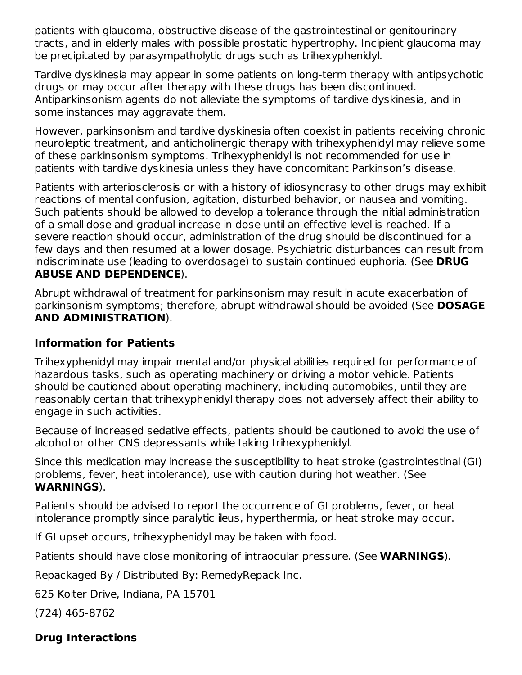patients with glaucoma, obstructive disease of the gastrointestinal or genitourinary tracts, and in elderly males with possible prostatic hypertrophy. Incipient glaucoma may be precipitated by parasympatholytic drugs such as trihexyphenidyl.

Tardive dyskinesia may appear in some patients on long-term therapy with antipsychotic drugs or may occur after therapy with these drugs has been discontinued. Antiparkinsonism agents do not alleviate the symptoms of tardive dyskinesia, and in some instances may aggravate them.

However, parkinsonism and tardive dyskinesia often coexist in patients receiving chronic neuroleptic treatment, and anticholinergic therapy with trihexyphenidyl may relieve some of these parkinsonism symptoms. Trihexyphenidyl is not recommended for use in patients with tardive dyskinesia unless they have concomitant Parkinson's disease.

Patients with arteriosclerosis or with a history of idiosyncrasy to other drugs may exhibit reactions of mental confusion, agitation, disturbed behavior, or nausea and vomiting. Such patients should be allowed to develop a tolerance through the initial administration of a small dose and gradual increase in dose until an effective level is reached. If a severe reaction should occur, administration of the drug should be discontinued for a few days and then resumed at a lower dosage. Psychiatric disturbances can result from indiscriminate use (leading to overdosage) to sustain continued euphoria. (See **DRUG ABUSE AND DEPENDENCE**).

Abrupt withdrawal of treatment for parkinsonism may result in acute exacerbation of parkinsonism symptoms; therefore, abrupt withdrawal should be avoided (See **DOSAGE AND ADMINISTRATION**).

#### **Information for Patients**

Trihexyphenidyl may impair mental and/or physical abilities required for performance of hazardous tasks, such as operating machinery or driving a motor vehicle. Patients should be cautioned about operating machinery, including automobiles, until they are reasonably certain that trihexyphenidyl therapy does not adversely affect their ability to engage in such activities.

Because of increased sedative effects, patients should be cautioned to avoid the use of alcohol or other CNS depressants while taking trihexyphenidyl.

Since this medication may increase the susceptibility to heat stroke (gastrointestinal (GI) problems, fever, heat intolerance), use with caution during hot weather. (See **WARNINGS**).

Patients should be advised to report the occurrence of GI problems, fever, or heat intolerance promptly since paralytic ileus, hyperthermia, or heat stroke may occur.

If GI upset occurs, trihexyphenidyl may be taken with food.

Patients should have close monitoring of intraocular pressure. (See **WARNINGS**).

Repackaged By / Distributed By: RemedyRepack Inc.

625 Kolter Drive, Indiana, PA 15701

(724) 465-8762

## **Drug Interactions**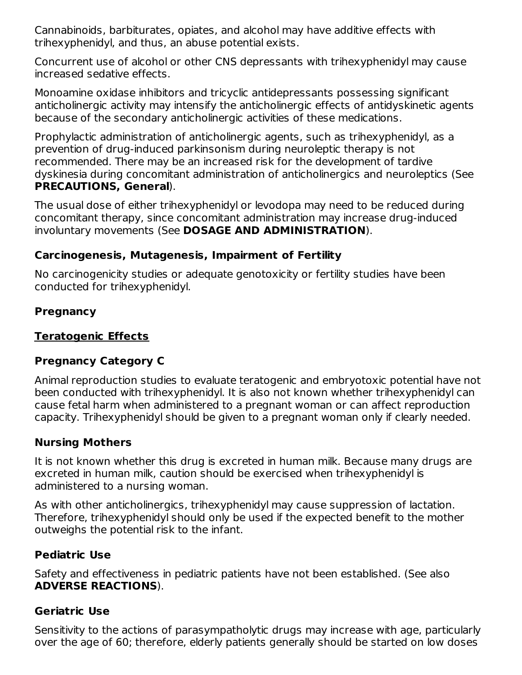Cannabinoids, barbiturates, opiates, and alcohol may have additive effects with trihexyphenidyl, and thus, an abuse potential exists.

Concurrent use of alcohol or other CNS depressants with trihexyphenidyl may cause increased sedative effects.

Monoamine oxidase inhibitors and tricyclic antidepressants possessing significant anticholinergic activity may intensify the anticholinergic effects of antidyskinetic agents because of the secondary anticholinergic activities of these medications.

Prophylactic administration of anticholinergic agents, such as trihexyphenidyl, as a prevention of drug-induced parkinsonism during neuroleptic therapy is not recommended. There may be an increased risk for the development of tardive dyskinesia during concomitant administration of anticholinergics and neuroleptics (See **PRECAUTIONS, General**).

The usual dose of either trihexyphenidyl or levodopa may need to be reduced during concomitant therapy, since concomitant administration may increase drug-induced involuntary movements (See **DOSAGE AND ADMINISTRATION**).

#### **Carcinogenesis, Mutagenesis, Impairment of Fertility**

No carcinogenicity studies or adequate genotoxicity or fertility studies have been conducted for trihexyphenidyl.

## **Pregnancy**

## **Teratogenic Effects**

# **Pregnancy Category C**

Animal reproduction studies to evaluate teratogenic and embryotoxic potential have not been conducted with trihexyphenidyl. It is also not known whether trihexyphenidyl can cause fetal harm when administered to a pregnant woman or can affect reproduction capacity. Trihexyphenidyl should be given to a pregnant woman only if clearly needed.

## **Nursing Mothers**

It is not known whether this drug is excreted in human milk. Because many drugs are excreted in human milk, caution should be exercised when trihexyphenidyl is administered to a nursing woman.

As with other anticholinergics, trihexyphenidyl may cause suppression of lactation. Therefore, trihexyphenidyl should only be used if the expected benefit to the mother outweighs the potential risk to the infant.

## **Pediatric Use**

Safety and effectiveness in pediatric patients have not been established. (See also **ADVERSE REACTIONS**).

## **Geriatric Use**

Sensitivity to the actions of parasympatholytic drugs may increase with age, particularly over the age of 60; therefore, elderly patients generally should be started on low doses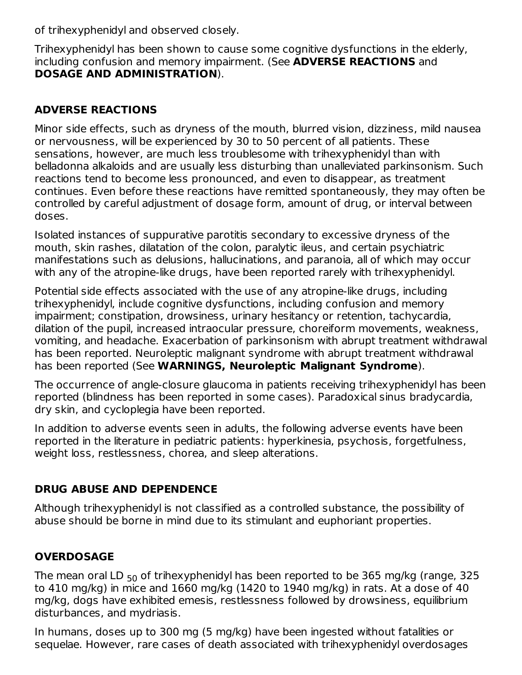of trihexyphenidyl and observed closely.

Trihexyphenidyl has been shown to cause some cognitive dysfunctions in the elderly, including confusion and memory impairment. (See **ADVERSE REACTIONS** and **DOSAGE AND ADMINISTRATION**).

## **ADVERSE REACTIONS**

Minor side effects, such as dryness of the mouth, blurred vision, dizziness, mild nausea or nervousness, will be experienced by 30 to 50 percent of all patients. These sensations, however, are much less troublesome with trihexyphenidyl than with belladonna alkaloids and are usually less disturbing than unalleviated parkinsonism. Such reactions tend to become less pronounced, and even to disappear, as treatment continues. Even before these reactions have remitted spontaneously, they may often be controlled by careful adjustment of dosage form, amount of drug, or interval between doses.

Isolated instances of suppurative parotitis secondary to excessive dryness of the mouth, skin rashes, dilatation of the colon, paralytic ileus, and certain psychiatric manifestations such as delusions, hallucinations, and paranoia, all of which may occur with any of the atropine-like drugs, have been reported rarely with trihexyphenidyl.

Potential side effects associated with the use of any atropine-like drugs, including trihexyphenidyl, include cognitive dysfunctions, including confusion and memory impairment; constipation, drowsiness, urinary hesitancy or retention, tachycardia, dilation of the pupil, increased intraocular pressure, choreiform movements, weakness, vomiting, and headache. Exacerbation of parkinsonism with abrupt treatment withdrawal has been reported. Neuroleptic malignant syndrome with abrupt treatment withdrawal has been reported (See **WARNINGS, Neuroleptic Malignant Syndrome**).

The occurrence of angle-closure glaucoma in patients receiving trihexyphenidyl has been reported (blindness has been reported in some cases). Paradoxical sinus bradycardia, dry skin, and cycloplegia have been reported.

In addition to adverse events seen in adults, the following adverse events have been reported in the literature in pediatric patients: hyperkinesia, psychosis, forgetfulness, weight loss, restlessness, chorea, and sleep alterations.

# **DRUG ABUSE AND DEPENDENCE**

Although trihexyphenidyl is not classified as a controlled substance, the possibility of abuse should be borne in mind due to its stimulant and euphoriant properties.

# **OVERDOSAGE**

The mean oral LD  $_{50}$  of trihexyphenidyl has been reported to be 365 mg/kg (range, 325  $\,$ to 410 mg/kg) in mice and 1660 mg/kg (1420 to 1940 mg/kg) in rats. At a dose of 40 mg/kg, dogs have exhibited emesis, restlessness followed by drowsiness, equilibrium disturbances, and mydriasis.

In humans, doses up to 300 mg (5 mg/kg) have been ingested without fatalities or sequelae. However, rare cases of death associated with trihexyphenidyl overdosages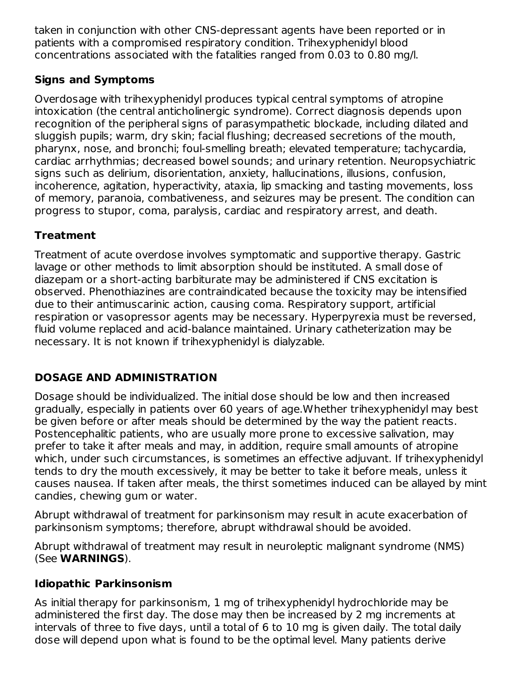taken in conjunction with other CNS-depressant agents have been reported or in patients with a compromised respiratory condition. Trihexyphenidyl blood concentrations associated with the fatalities ranged from 0.03 to 0.80 mg/l.

# **Signs and Symptoms**

Overdosage with trihexyphenidyl produces typical central symptoms of atropine intoxication (the central anticholinergic syndrome). Correct diagnosis depends upon recognition of the peripheral signs of parasympathetic blockade, including dilated and sluggish pupils; warm, dry skin; facial flushing; decreased secretions of the mouth, pharynx, nose, and bronchi; foul-smelling breath; elevated temperature; tachycardia, cardiac arrhythmias; decreased bowel sounds; and urinary retention. Neuropsychiatric signs such as delirium, disorientation, anxiety, hallucinations, illusions, confusion, incoherence, agitation, hyperactivity, ataxia, lip smacking and tasting movements, loss of memory, paranoia, combativeness, and seizures may be present. The condition can progress to stupor, coma, paralysis, cardiac and respiratory arrest, and death.

# **Treatment**

Treatment of acute overdose involves symptomatic and supportive therapy. Gastric lavage or other methods to limit absorption should be instituted. A small dose of diazepam or a short-acting barbiturate may be administered if CNS excitation is observed. Phenothiazines are contraindicated because the toxicity may be intensified due to their antimuscarinic action, causing coma. Respiratory support, artificial respiration or vasopressor agents may be necessary. Hyperpyrexia must be reversed, fluid volume replaced and acid-balance maintained. Urinary catheterization may be necessary. It is not known if trihexyphenidyl is dialyzable.

# **DOSAGE AND ADMINISTRATION**

Dosage should be individualized. The initial dose should be low and then increased gradually, especially in patients over 60 years of age.Whether trihexyphenidyl may best be given before or after meals should be determined by the way the patient reacts. Postencephalitic patients, who are usually more prone to excessive salivation, may prefer to take it after meals and may, in addition, require small amounts of atropine which, under such circumstances, is sometimes an effective adjuvant. If trihexyphenidyl tends to dry the mouth excessively, it may be better to take it before meals, unless it causes nausea. If taken after meals, the thirst sometimes induced can be allayed by mint candies, chewing gum or water.

Abrupt withdrawal of treatment for parkinsonism may result in acute exacerbation of parkinsonism symptoms; therefore, abrupt withdrawal should be avoided.

Abrupt withdrawal of treatment may result in neuroleptic malignant syndrome (NMS) (See **WARNINGS**).

# **Idiopathic Parkinsonism**

As initial therapy for parkinsonism, 1 mg of trihexyphenidyl hydrochloride may be administered the first day. The dose may then be increased by 2 mg increments at intervals of three to five days, until a total of 6 to 10 mg is given daily. The total daily dose will depend upon what is found to be the optimal level. Many patients derive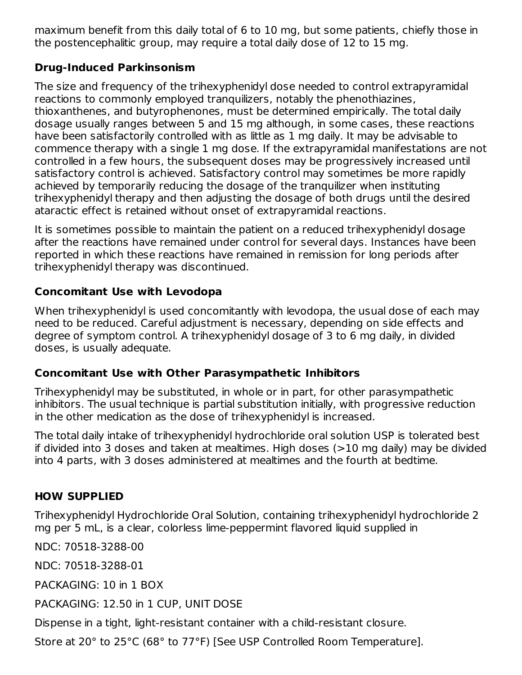maximum benefit from this daily total of 6 to 10 mg, but some patients, chiefly those in the postencephalitic group, may require a total daily dose of 12 to 15 mg.

## **Drug-Induced Parkinsonism**

The size and frequency of the trihexyphenidyl dose needed to control extrapyramidal reactions to commonly employed tranquilizers, notably the phenothiazines, thioxanthenes, and butyrophenones, must be determined empirically. The total daily dosage usually ranges between 5 and 15 mg although, in some cases, these reactions have been satisfactorily controlled with as little as 1 mg daily. It may be advisable to commence therapy with a single 1 mg dose. If the extrapyramidal manifestations are not controlled in a few hours, the subsequent doses may be progressively increased until satisfactory control is achieved. Satisfactory control may sometimes be more rapidly achieved by temporarily reducing the dosage of the tranquilizer when instituting trihexyphenidyl therapy and then adjusting the dosage of both drugs until the desired ataractic effect is retained without onset of extrapyramidal reactions.

It is sometimes possible to maintain the patient on a reduced trihexyphenidyl dosage after the reactions have remained under control for several days. Instances have been reported in which these reactions have remained in remission for long periods after trihexyphenidyl therapy was discontinued.

# **Concomitant Use with Levodopa**

When trihexyphenidyl is used concomitantly with levodopa, the usual dose of each may need to be reduced. Careful adjustment is necessary, depending on side effects and degree of symptom control. A trihexyphenidyl dosage of 3 to 6 mg daily, in divided doses, is usually adequate.

# **Concomitant Use with Other Parasympathetic Inhibitors**

Trihexyphenidyl may be substituted, in whole or in part, for other parasympathetic inhibitors. The usual technique is partial substitution initially, with progressive reduction in the other medication as the dose of trihexyphenidyl is increased.

The total daily intake of trihexyphenidyl hydrochloride oral solution USP is tolerated best if divided into 3 doses and taken at mealtimes. High doses (>10 mg daily) may be divided into 4 parts, with 3 doses administered at mealtimes and the fourth at bedtime.

# **HOW SUPPLIED**

Trihexyphenidyl Hydrochloride Oral Solution, containing trihexyphenidyl hydrochloride 2 mg per 5 mL, is a clear, colorless lime-peppermint flavored liquid supplied in

NDC: 70518-3288-00

NDC: 70518-3288-01

PACKAGING: 10 in 1 BOX

PACKAGING: 12.50 in 1 CUP, UNIT DOSE

Dispense in a tight, light-resistant container with a child-resistant closure.

Store at 20° to 25°C (68° to 77°F) [See USP Controlled Room Temperature].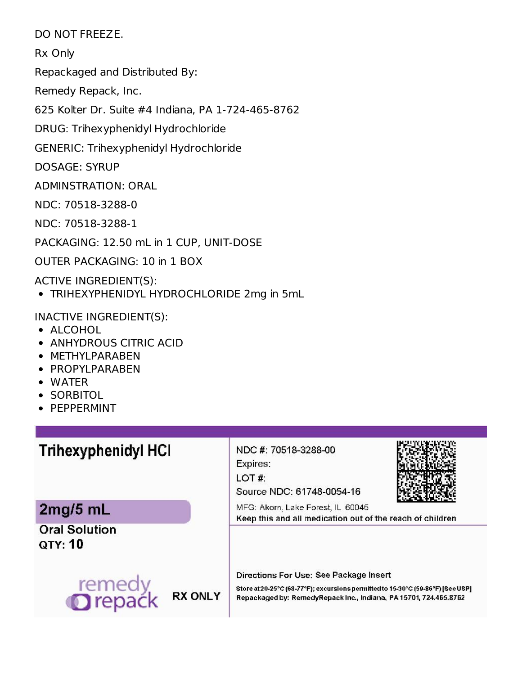DO NOT FREEZE.

Rx Only

Repackaged and Distributed By:

Remedy Repack, Inc.

625 Kolter Dr. Suite #4 Indiana, PA 1-724-465-8762

DRUG: Trihexyphenidyl Hydrochloride

GENERIC: Trihexyphenidyl Hydrochloride

DOSAGE: SYRUP

ADMINSTRATION: ORAL

NDC: 70518-3288-0

NDC: 70518-3288-1

PACKAGING: 12.50 mL in 1 CUP, UNIT-DOSE

OUTER PACKAGING: 10 in 1 BOX

ACTIVE INGREDIENT(S):

TRIHEXYPHENIDYL HYDROCHLORIDE 2mg in 5mL

INACTIVE INGREDIENT(S):

- ALCOHOL
- ANHYDROUS CITRIC ACID
- METHYLPARABEN
- PROPYLPARABEN
- WATER
- SORBITOL
- PEPPERMINT

# **Trihexyphenidyl HCI**

2mg/5 mL

**Oral Solution QTY: 10** 



NDC #: 70518-3288-00

Expires:

LOT#:

Source NDC: 61748-0054-16



MFG: Akorn. Lake Forest, IL 60045 Keep this and all medication out of the reach of children

Directions For Use: See Package Insert

Store at 20-25°C (68-77°F); excursions permitted to 15-30°C (59-86°F) [See USP] Repackaged by: RemedyRepack Inc., Indiana, PA 15701, 724.465.8762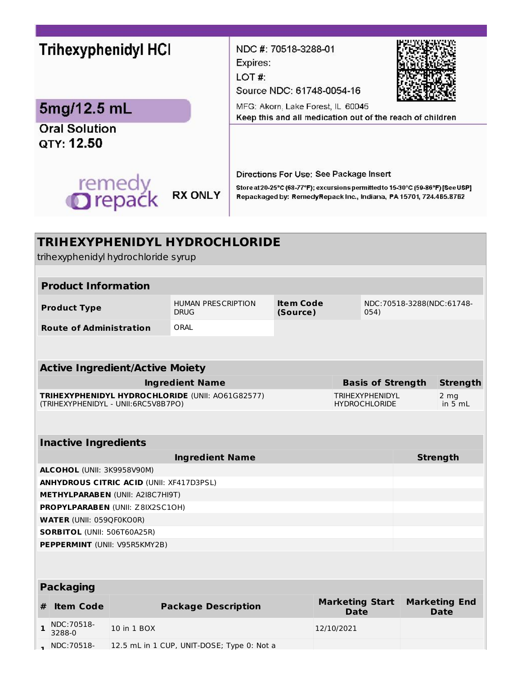# Trihexyphenidyl HCI

# 5mg/12.5 mL

**Oral Solution** QTY: 12.50



NDC #: 70518-3288-01

Expires:

LOT#:

Source NDC: 61748-0054-16



MFG: Akorn, Lake Forest, IL 60045 Keep this and all medication out of the reach of children

Directions For Use: See Package Insert

Store at 20-25°C (68-77°F); excursions permitted to 15-30°C (59-86°F) [See USP] Repackaged by: RemedyRepack Inc., Indiana, PA 15701, 724.465.8762

| <b>TRIHEXYPHENIDYL HYDROCHLORIDE</b><br>trihexyphenidyl hydrochloride syrup             |                                                    |             |                                            |  |                                       |                                                |                           |                                     |  |  |
|-----------------------------------------------------------------------------------------|----------------------------------------------------|-------------|--------------------------------------------|--|---------------------------------------|------------------------------------------------|---------------------------|-------------------------------------|--|--|
|                                                                                         |                                                    |             |                                            |  |                                       |                                                |                           |                                     |  |  |
| <b>Product Information</b>                                                              |                                                    |             |                                            |  |                                       |                                                |                           |                                     |  |  |
| <b>Product Type</b>                                                                     |                                                    |             | <b>HUMAN PRESCRIPTION</b><br><b>DRUG</b>   |  | <b>Item Code</b><br>(Source)<br>054)  |                                                | NDC:70518-3288(NDC:61748- |                                     |  |  |
| <b>Route of Administration</b>                                                          |                                                    |             | ORAI                                       |  |                                       |                                                |                           |                                     |  |  |
|                                                                                         |                                                    |             |                                            |  |                                       |                                                |                           |                                     |  |  |
| <b>Active Ingredient/Active Moiety</b>                                                  |                                                    |             |                                            |  |                                       |                                                |                           |                                     |  |  |
|                                                                                         | <b>Ingredient Name</b><br><b>Basis of Strength</b> |             |                                            |  |                                       |                                                |                           | <b>Strength</b>                     |  |  |
| TRIHEXYPHENIDYL HYDROCHLORIDE (UNII: A061G82577)<br>(TRIHEXYPHENIDYL - UNII:6RC5V8B7PO) |                                                    |             |                                            |  |                                       | <b>TRIHEXYPHENIDYL</b><br><b>HYDROCHLORIDE</b> |                           | 2 <sub>ma</sub><br>in 5 mL          |  |  |
|                                                                                         |                                                    |             |                                            |  |                                       |                                                |                           |                                     |  |  |
| <b>Inactive Ingredients</b>                                                             |                                                    |             |                                            |  |                                       |                                                |                           |                                     |  |  |
| <b>Ingredient Name</b>                                                                  |                                                    |             |                                            |  |                                       |                                                | <b>Strength</b>           |                                     |  |  |
| ALCOHOL (UNII: 3K9958V90M)                                                              |                                                    |             |                                            |  |                                       |                                                |                           |                                     |  |  |
| <b>ANHYDROUS CITRIC ACID (UNII: XF417D3PSL)</b>                                         |                                                    |             |                                            |  |                                       |                                                |                           |                                     |  |  |
| <b>METHYLPARABEN (UNII: A2I8C7HI9T)</b>                                                 |                                                    |             |                                            |  |                                       |                                                |                           |                                     |  |  |
| PROPYLPARABEN (UNII: Z8IX2SC10H)                                                        |                                                    |             |                                            |  |                                       |                                                |                           |                                     |  |  |
|                                                                                         | <b>WATER (UNII: 059QF0KO0R)</b>                    |             |                                            |  |                                       |                                                |                           |                                     |  |  |
|                                                                                         | <b>SORBITOL (UNII: 506T60A25R)</b>                 |             |                                            |  |                                       |                                                |                           |                                     |  |  |
|                                                                                         | PEPPERMINT (UNII: V95R5KMY2B)                      |             |                                            |  |                                       |                                                |                           |                                     |  |  |
|                                                                                         |                                                    |             |                                            |  |                                       |                                                |                           |                                     |  |  |
|                                                                                         | <b>Packaging</b>                                   |             |                                            |  |                                       |                                                |                           |                                     |  |  |
| #                                                                                       | <b>Item Code</b>                                   |             | <b>Package Description</b>                 |  | <b>Marketing Start</b><br><b>Date</b> |                                                |                           | <b>Marketing End</b><br><b>Date</b> |  |  |
| 1                                                                                       | NDC:70518-<br>3288-0                               | 10 in 1 BOX |                                            |  | 12/10/2021                            |                                                |                           |                                     |  |  |
|                                                                                         | NDC: 70518-                                        |             | 12.5 mL in 1 CUP, UNIT-DOSE; Type 0: Not a |  |                                       |                                                |                           |                                     |  |  |